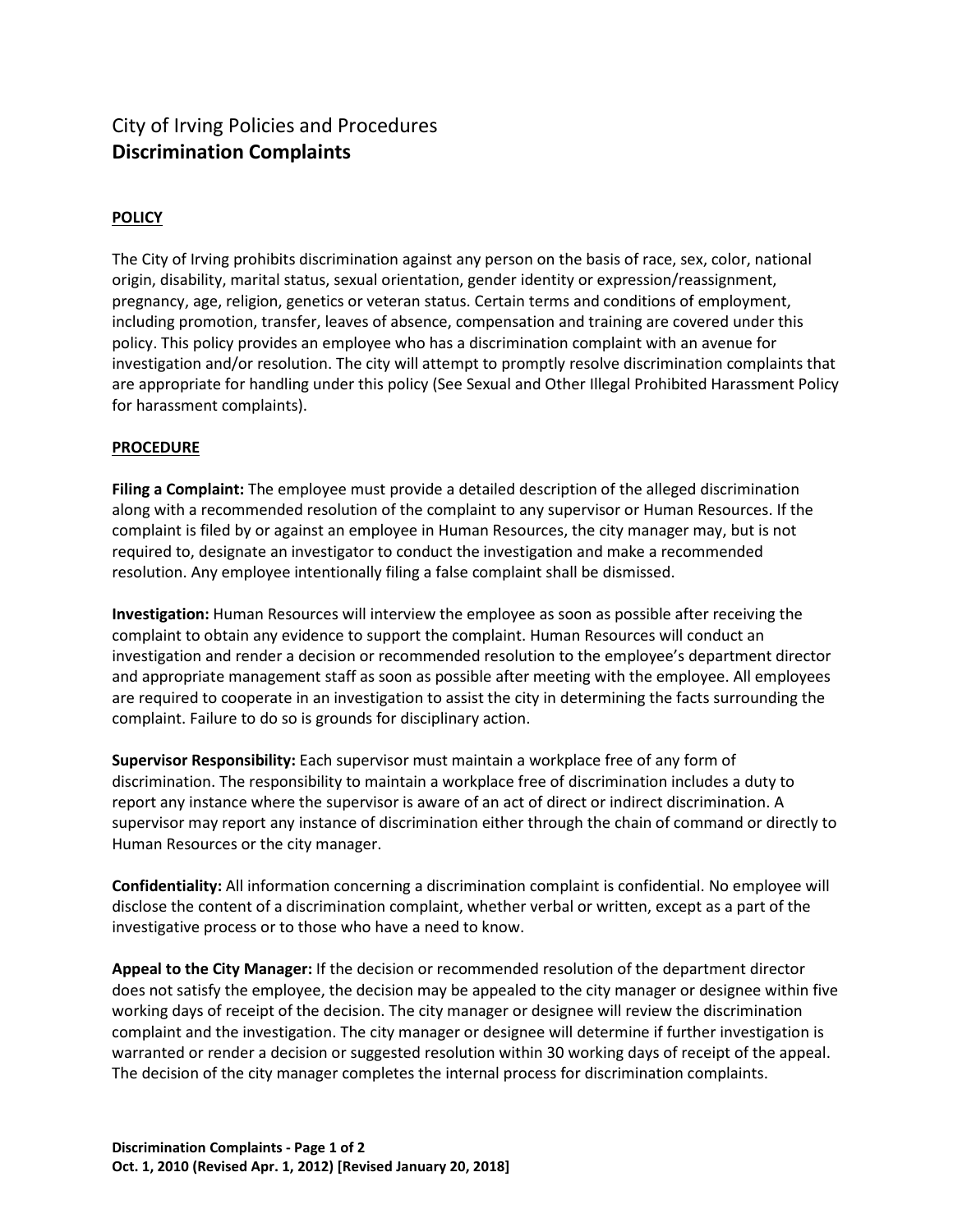## City of Irving Policies and Procedures **Discrimination Complaints**

## **POLICY**

The City of Irving prohibits discrimination against any person on the basis of race, sex, color, national origin, disability, marital status, sexual orientation, gender identity or expression/reassignment, pregnancy, age, religion, genetics or veteran status. Certain terms and conditions of employment, including promotion, transfer, leaves of absence, compensation and training are covered under this policy. This policy provides an employee who has a discrimination complaint with an avenue for investigation and/or resolution. The city will attempt to promptly resolve discrimination complaints that are appropriate for handling under this policy (See Sexual and Other Illegal Prohibited Harassment Policy for harassment complaints).

## **PROCEDURE**

**Filing a Complaint:** The employee must provide a detailed description of the alleged discrimination along with a recommended resolution of the complaint to any supervisor or Human Resources. If the complaint is filed by or against an employee in Human Resources, the city manager may, but is not required to, designate an investigator to conduct the investigation and make a recommended resolution. Any employee intentionally filing a false complaint shall be dismissed.

**Investigation:** Human Resources will interview the employee as soon as possible after receiving the complaint to obtain any evidence to support the complaint. Human Resources will conduct an investigation and render a decision or recommended resolution to the employee's department director and appropriate management staff as soon as possible after meeting with the employee. All employees are required to cooperate in an investigation to assist the city in determining the facts surrounding the complaint. Failure to do so is grounds for disciplinary action.

**Supervisor Responsibility:** Each supervisor must maintain a workplace free of any form of discrimination. The responsibility to maintain a workplace free of discrimination includes a duty to report any instance where the supervisor is aware of an act of direct or indirect discrimination. A supervisor may report any instance of discrimination either through the chain of command or directly to Human Resources or the city manager.

**Confidentiality:** All information concerning a discrimination complaint is confidential. No employee will disclose the content of a discrimination complaint, whether verbal or written, except as a part of the investigative process or to those who have a need to know.

**Appeal to the City Manager:** If the decision or recommended resolution of the department director does not satisfy the employee, the decision may be appealed to the city manager or designee within five working days of receipt of the decision. The city manager or designee will review the discrimination complaint and the investigation. The city manager or designee will determine if further investigation is warranted or render a decision or suggested resolution within 30 working days of receipt of the appeal. The decision of the city manager completes the internal process for discrimination complaints.